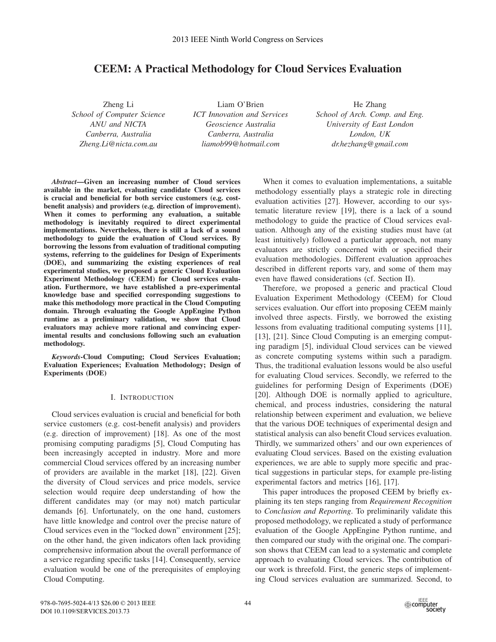# CEEM: A Practical Methodology for Cloud Services Evaluation

Zheng Li *School of Computer Science ANU and NICTA Canberra, Australia Zheng.Li@nicta.com.au*

Liam O'Brien *ICT Innovation and Services Geoscience Australia Canberra, Australia liamob99@hotmail.com*

He Zhang *School of Arch. Comp. and Eng. University of East London London, UK dr.hezhang@gmail.com*

*Abstract*—Given an increasing number of Cloud services available in the market, evaluating candidate Cloud services is crucial and beneficial for both service customers (e.g. costbenefit analysis) and providers (e.g. direction of improvement). When it comes to performing any evaluation, a suitable methodology is inevitably required to direct experimental implementations. Nevertheless, there is still a lack of a sound methodology to guide the evaluation of Cloud services. By borrowing the lessons from evaluation of traditional computing systems, referring to the guidelines for Design of Experiments (DOE), and summarizing the existing experiences of real experimental studies, we proposed a generic Cloud Evaluation Experiment Methodology (CEEM) for Cloud services evaluation. Furthermore, we have established a pre-experimental knowledge base and specified corresponding suggestions to make this methodology more practical in the Cloud Computing domain. Through evaluating the Google AppEngine Python runtime as a preliminary validation, we show that Cloud evaluators may achieve more rational and convincing experimental results and conclusions following such an evaluation methodology.

*Keywords*-Cloud Computing; Cloud Services Evaluation; Evaluation Experiences; Evaluation Methodology; Design of Experiments (DOE)

#### I. INTRODUCTION

Cloud services evaluation is crucial and beneficial for both service customers (e.g. cost-benefit analysis) and providers (e.g. direction of improvement) [18]. As one of the most promising computing paradigms [5], Cloud Computing has been increasingly accepted in industry. More and more commercial Cloud services offered by an increasing number of providers are available in the market [18], [22]. Given the diversity of Cloud services and price models, service selection would require deep understanding of how the different candidates may (or may not) match particular demands [6]. Unfortunately, on the one hand, customers have little knowledge and control over the precise nature of Cloud services even in the "locked down" environment [25]; on the other hand, the given indicators often lack providing comprehensive information about the overall performance of a service regarding specific tasks [14]. Consequently, service evaluation would be one of the prerequisites of employing Cloud Computing.

When it comes to evaluation implementations, a suitable methodology essentially plays a strategic role in directing evaluation activities [27]. However, according to our systematic literature review [19], there is a lack of a sound methodology to guide the practice of Cloud services evaluation. Although any of the existing studies must have (at least intuitively) followed a particular approach, not many evaluators are strictly concerned with or specified their evaluation methodologies. Different evaluation approaches described in different reports vary, and some of them may even have flawed considerations (cf. Section II).

Therefore, we proposed a generic and practical Cloud Evaluation Experiment Methodology (CEEM) for Cloud services evaluation. Our effort into proposing CEEM mainly involved three aspects. Firstly, we borrowed the existing lessons from evaluating traditional computing systems [11], [13], [21]. Since Cloud Computing is an emerging computing paradigm [5], individual Cloud services can be viewed as concrete computing systems within such a paradigm. Thus, the traditional evaluation lessons would be also useful for evaluating Cloud services. Secondly, we referred to the guidelines for performing Design of Experiments (DOE) [20]. Although DOE is normally applied to agriculture, chemical, and process industries, considering the natural relationship between experiment and evaluation, we believe that the various DOE techniques of experimental design and statistical analysis can also benefit Cloud services evaluation. Thirdly, we summarized others' and our own experiences of evaluating Cloud services. Based on the existing evaluation experiences, we are able to supply more specific and practical suggestions in particular steps, for example pre-listing experimental factors and metrics [16], [17].

This paper introduces the proposed CEEM by briefly explaining its ten steps ranging from *Requirement Recognition* to *Conclusion and Reporting*. To preliminarily validate this proposed methodology, we replicated a study of performance evaluation of the Google AppEngine Python runtime, and then compared our study with the original one. The comparison shows that CEEM can lead to a systematic and complete approach to evaluating Cloud services. The contribution of our work is threefold. First, the generic steps of implementing Cloud services evaluation are summarized. Second, to

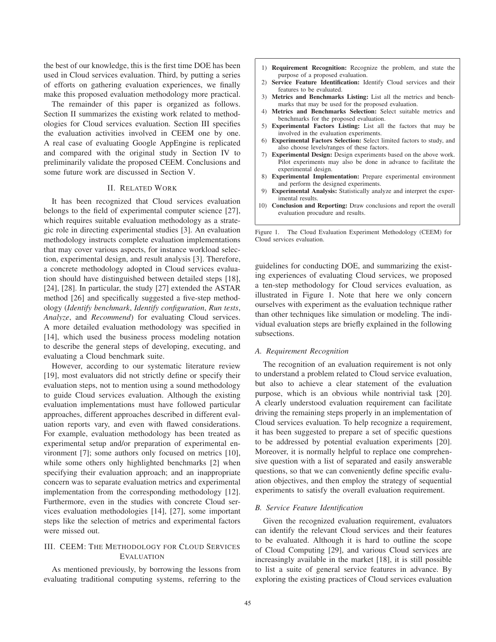the best of our knowledge, this is the first time DOE has been used in Cloud services evaluation. Third, by putting a series of efforts on gathering evaluation experiences, we finally make this proposed evaluation methodology more practical.

The remainder of this paper is organized as follows. Section II summarizes the existing work related to methodologies for Cloud services evaluation. Section III specifies the evaluation activities involved in CEEM one by one. A real case of evaluating Google AppEngine is replicated and compared with the original study in Section IV to preliminarily validate the proposed CEEM. Conclusions and some future work are discussed in Section V.

## II. RELATED WORK

It has been recognized that Cloud services evaluation belongs to the field of experimental computer science [27], which requires suitable evaluation methodology as a strategic role in directing experimental studies [3]. An evaluation methodology instructs complete evaluation implementations that may cover various aspects, for instance workload selection, experimental design, and result analysis [3]. Therefore, a concrete methodology adopted in Cloud services evaluation should have distinguished between detailed steps [18], [24], [28]. In particular, the study [27] extended the ASTAR method [26] and specifically suggested a five-step methodology (*Identify benchmark*, *Identify configuration*, *Run tests*, *Analyze*, and *Recommend*) for evaluating Cloud services. A more detailed evaluation methodology was specified in [14], which used the business process modeling notation to describe the general steps of developing, executing, and evaluating a Cloud benchmark suite.

However, according to our systematic literature review [19], most evaluators did not strictly define or specify their evaluation steps, not to mention using a sound methodology to guide Cloud services evaluation. Although the existing evaluation implementations must have followed particular approaches, different approaches described in different evaluation reports vary, and even with flawed considerations. For example, evaluation methodology has been treated as experimental setup and/or preparation of experimental environment [7]; some authors only focused on metrics [10], while some others only highlighted benchmarks [2] when specifying their evaluation approach; and an inappropriate concern was to separate evaluation metrics and experimental implementation from the corresponding methodology [12]. Furthermore, even in the studies with concrete Cloud services evaluation methodologies [14], [27], some important steps like the selection of metrics and experimental factors were missed out.

## III. CEEM: THE METHODOLOGY FOR CLOUD SERVICES EVALUATION

As mentioned previously, by borrowing the lessons from evaluating traditional computing systems, referring to the

- 1) Requirement Recognition: Recognize the problem, and state the purpose of a proposed evaluation.
- 2) Service Feature Identification: Identify Cloud services and their features to be evaluated.
- 3) Metrics and Benchmarks Listing: List all the metrics and benchmarks that may be used for the proposed evaluation.
- 4) Metrics and Benchmarks Selection: Select suitable metrics and benchmarks for the proposed evaluation.
- 5) Experimental Factors Listing: List all the factors that may be involved in the evaluation experiments.
- 6) Experimental Factors Selection: Select limited factors to study, and also choose levels/ranges of these factors.
- 7) Experimental Design: Design experiments based on the above work. Pilot experiments may also be done in advance to facilitate the experimental design.
- 8) Experimental Implementation: Prepare experimental environment and perform the designed experiments.
- Experimental Analysis: Statistically analyze and interpret the experimental results.
- 10) Conclusion and Reporting: Draw conclusions and report the overall evaluation procudure and results.

Figure 1. The Cloud Evaluation Experiment Methodology (CEEM) for Cloud services evaluation.

guidelines for conducting DOE, and summarizing the existing experiences of evaluating Cloud services, we proposed a ten-step methodology for Cloud services evaluation, as illustrated in Figure 1. Note that here we only concern ourselves with experiment as the evaluation technique rather than other techniques like simulation or modeling. The individual evaluation steps are briefly explained in the following subsections.

#### *A. Requirement Recognition*

The recognition of an evaluation requirement is not only to understand a problem related to Cloud service evaluation, but also to achieve a clear statement of the evaluation purpose, which is an obvious while nontrivial task [20]. A clearly understood evaluation requirement can facilitate driving the remaining steps properly in an implementation of Cloud services evaluation. To help recognize a requirement, it has been suggested to prepare a set of specific questions to be addressed by potential evaluation experiments [20]. Moreover, it is normally helpful to replace one comprehensive question with a list of separated and easily answerable questions, so that we can conveniently define specific evaluation objectives, and then employ the strategy of sequential experiments to satisfy the overall evaluation requirement.

#### *B. Service Feature Identification*

Given the recognized evaluation requirement, evaluators can identify the relevant Cloud services and their features to be evaluated. Although it is hard to outline the scope of Cloud Computing [29], and various Cloud services are increasingly available in the market [18], it is still possible to list a suite of general service features in advance. By exploring the existing practices of Cloud services evaluation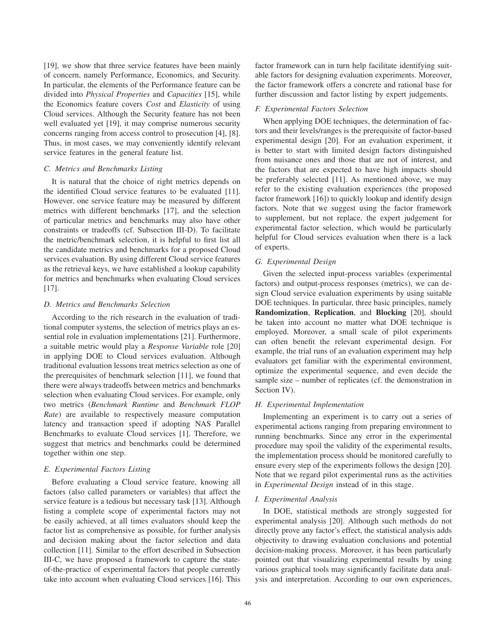[19], we show that three service features have been mainly of concern, namely Performance, Economics, and Security. In particular, the elements of the Performance feature can be divided into *Physical Properties* and *Capacities* [15], while the Economics feature covers *Cost* and *Elasticity* of using Cloud services. Although the Security feature has not been well evaluated yet [19], it may comprise numerous security concerns ranging from access control to prosecution [4], [8]. Thus, in most cases, we may conveniently identify relevant service features in the general feature list.

## *C. Metrics and Benchmarks Listing*

It is natural that the choice of right metrics depends on the identified Cloud service features to be evaluated [11]. However, one service feature may be measured by different metrics with different benchmarks [17], and the selection of particular metrics and benchmarks may also have other constraints or tradeoffs (cf. Subsection III-D). To facilitate the metric/benchmark selection, it is helpful to first list all the candidate metrics and benchmarks for a proposed Cloud services evaluation. By using different Cloud service features as the retrieval keys, we have established a lookup capability for metrics and benchmarks when evaluating Cloud services [17].

# *D. Metrics and Benchmarks Selection*

According to the rich research in the evaluation of traditional computer systems, the selection of metrics plays an essential role in evaluation implementations [21]. Furthermore, a suitable metric would play a *Response Variable* role [20] in applying DOE to Cloud services evaluation. Although traditional evaluation lessons treat metrics selection as one of the prerequisites of benchmark selection [11], we found that there were always tradeoffs between metrics and benchmarks selection when evaluating Cloud services. For example, only two metrics (*Benchmark Runtime* and *Benchmark FLOP Rate*) are available to respectively measure computation latency and transaction speed if adopting NAS Parallel Benchmarks to evaluate Cloud services [1]. Therefore, we suggest that metrics and benchmarks could be determined together within one step.

## *E. Experimental Factors Listing*

Before evaluating a Cloud service feature, knowing all factors (also called parameters or variables) that affect the service feature is a tedious but necessary task [13]. Although listing a complete scope of experimental factors may not be easily achieved, at all times evaluators should keep the factor list as comprehensive as possible, for further analysis and decision making about the factor selection and data collection [11]. Similar to the effort described in Subsection III-C, we have proposed a framework to capture the stateof-the-practice of experimental factors that people currently take into account when evaluating Cloud services [16]. This factor framework can in turn help facilitate identifying suitable factors for designing evaluation experiments. Moreover, the factor framework offers a concrete and rational base for further discussion and factor listing by expert judgements.

## *F. Experimental Factors Selection*

When applying DOE techniques, the determination of factors and their levels/ranges is the prerequisite of factor-based experimental design [20]. For an evaluation experiment, it is better to start with limited design factors distinguished from nuisance ones and those that are not of interest, and the factors that are expected to have high impacts should be preferably selected [11]. As mentioned above, we may refer to the existing evaluation experiences (the proposed factor framework [16]) to quickly lookup and identify design factors. Note that we suggest using the factor framework to supplement, but not replace, the expert judgement for experimental factor selection, which would be particularly helpful for Cloud services evaluation when there is a lack of experts.

#### *G. Experimental Design*

Given the selected input-process variables (experimental factors) and output-process responses (metrics), we can design Cloud service evaluation experiments by using suitable DOE techniques. In particular, three basic principles, namely Randomization, Replication, and Blocking [20], should be taken into account no matter what DOE technique is employed. Moreover, a small scale of pilot experiments can often benefit the relevant experimental design. For example, the trial runs of an evaluation experiment may help evaluators get familiar with the experimental environment, optimize the experimental sequence, and even decide the sample size – number of replicates (cf. the demonstration in Section IV).

#### *H. Experimental Implementation*

Implementing an experiment is to carry out a series of experimental actions ranging from preparing environment to running benchmarks. Since any error in the experimental procedure may spoil the validity of the experimental results, the implementation process should be monitored carefully to ensure every step of the experiments follows the design [20]. Note that we regard pilot experimental runs as the activities in *Experimental Design* instead of in this stage.

#### *I. Experimental Analysis*

In DOE, statistical methods are strongly suggested for experimental analysis [20]. Although such methods do not directly prove any factor's effect, the statistical analysis adds objectivity to drawing evaluation conclusions and potential decision-making process. Moreover, it has been particularly pointed out that visualizing experimental results by using various graphical tools may significantly facilitate data analysis and interpretation. According to our own experiences,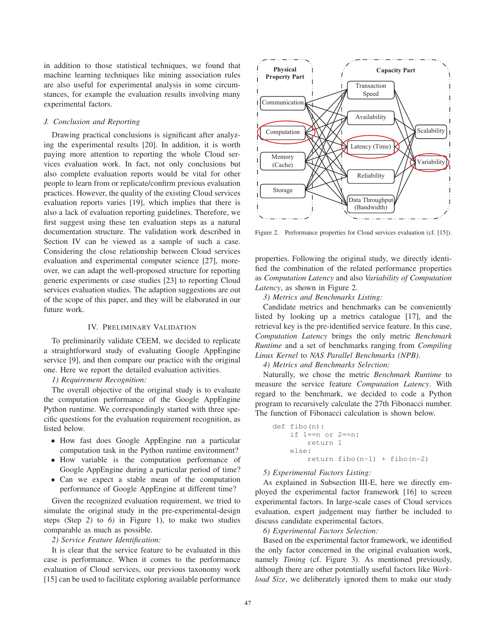in addition to those statistical techniques, we found that machine learning techniques like mining association rules are also useful for experimental analysis in some circumstances, for example the evaluation results involving many experimental factors.

## *J. Conclusion and Reporting*

Drawing practical conclusions is significant after analyzing the experimental results [20]. In addition, it is worth paying more attention to reporting the whole Cloud services evaluation work. In fact, not only conclusions but also complete evaluation reports would be vital for other people to learn from or replicate/confirm previous evaluation practices. However, the quality of the existing Cloud services evaluation reports varies [19], which implies that there is also a lack of evaluation reporting guidelines. Therefore, we first suggest using these ten evaluation steps as a natural documentation structure. The validation work described in Section IV can be viewed as a sample of such a case. Considering the close relationship between Cloud services evaluation and experimental computer science [27], moreover, we can adapt the well-proposed structure for reporting generic experiments or case studies [23] to reporting Cloud services evaluation studies. The adaption suggestions are out of the scope of this paper, and they will be elaborated in our future work.

#### IV. PRELIMINARY VALIDATION

To preliminarily validate CEEM, we decided to replicate a straightforward study of evaluating Google AppEngine service [9], and then compare our practice with the original one. Here we report the detailed evaluation activities.

*1) Requirement Recognition:*

The overall objective of the original study is to evaluate the computation performance of the Google AppEngine Python runtime. We correspondingly started with three specific questions for the evaluation requirement recognition, as listed below.

- How fast does Google AppEngine run a particular computation task in the Python runtime environment?
- How variable is the computation performance of Google AppEngine during a particular period of time?
- Can we expect a stable mean of the computation performance of Google AppEngine at different time?

Given the recognized evaluation requirement, we tried to simulate the original study in the pre-experimental-design steps (Step *2)* to *6)* in Figure 1), to make two studies comparable as much as possible.

#### *2) Service Feature Identification:*

It is clear that the service feature to be evaluated in this case is performance. When it comes to the performance evaluation of Cloud services, our previous taxonomy work [15] can be used to facilitate exploring available performance



Figure 2. Performance properties for Cloud services evaluation (cf. [15]).

properties. Following the original study, we directly identified the combination of the related performance properties as *Computation Latency* and also *Variability of Computation Latency*, as shown in Figure 2.

*3) Metrics and Benchmarks Listing:*

Candidate metrics and benchmarks can be conveniently listed by looking up a metrics catalogue [17], and the retrieval key is the pre-identified service feature. In this case, *Computation Latency* brings the only metric *Benchmark Runtime* and a set of benchmarks ranging from *Compiling Linux Kernel* to *NAS Parallel Benchmarks (NPB)*.

*4) Metrics and Benchmarks Selection:*

Naturally, we chose the metric *Benchmark Runtime* to measure the service feature *Computation Latency*. With regard to the benchmark, we decided to code a Python program to recursively calculate the 27th Fibonacci number. The function of Fibonacci calculation is shown below.

```
def fibo(n):
if 1==n or 2==n:
    return 1
else:
    return fibo(n-1) + fibo(n-2)
```
### *5) Experimental Factors Listing:*

As explained in Subsection III-E, here we directly employed the experimental factor framework [16] to screen experimental factors. In large-scale cases of Cloud services evaluation, expert judgement may further be included to discuss candidate experimental factors.

*6) Experimental Factors Selection:*

Based on the experimental factor framework, we identified the only factor concerned in the original evaluation work, namely *Timing* (cf. Figure 3). As mentioned previously, although there are other potentially useful factors like *Workload Size*, we deliberately ignored them to make our study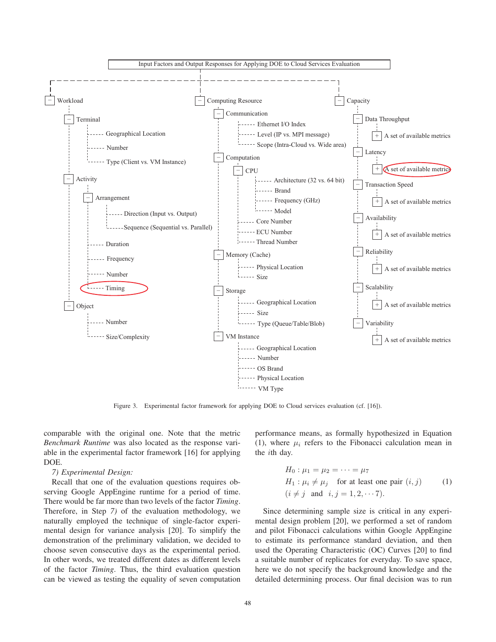

Figure 3. Experimental factor framework for applying DOE to Cloud services evaluation (cf. [16]).

comparable with the original one. Note that the metric *Benchmark Runtime* was also located as the response variable in the experimental factor framework [16] for applying DOE.

## *7) Experimental Design:*

Recall that one of the evaluation questions requires observing Google AppEngine runtime for a period of time. There would be far more than two levels of the factor *Timing*. Therefore, in Step *7)* of the evaluation methodology, we naturally employed the technique of single-factor experimental design for variance analysis [20]. To simplify the demonstration of the preliminary validation, we decided to choose seven consecutive days as the experimental period. In other words, we treated different dates as different levels of the factor *Timing*. Thus, the third evaluation question can be viewed as testing the equality of seven computation performance means, as formally hypothesized in Equation (1), where  $\mu_i$  refers to the Fibonacci calculation mean in the ith day.

$$
H_0: \mu_1 = \mu_2 = \dots = \mu_7
$$
  
\n
$$
H_1: \mu_i \neq \mu_j \quad \text{for at least one pair } (i, j) \tag{1}
$$
  
\n
$$
(i \neq j \text{ and } i, j = 1, 2, \dots 7).
$$

Since determining sample size is critical in any experimental design problem [20], we performed a set of random and pilot Fibonacci calculations within Google AppEngine to estimate its performance standard deviation, and then used the Operating Characteristic (OC) Curves [20] to find a suitable number of replicates for everyday. To save space, here we do not specify the background knowledge and the detailed determining process. Our final decision was to run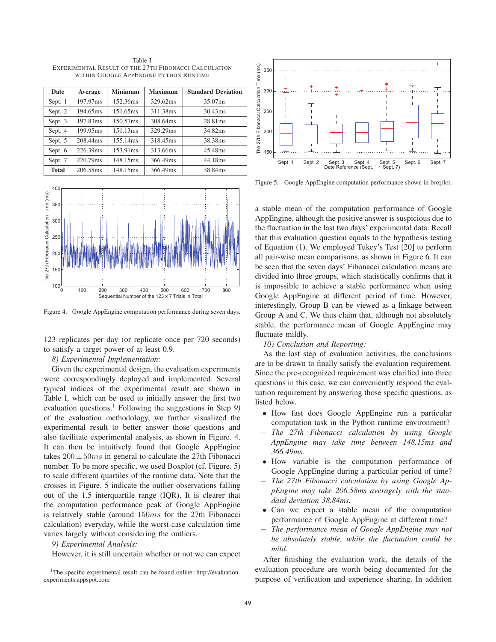Table I EXPERIMENTAL RESULT OF THE 27TH FIBONACCI CALCULATION WITHIN GOOGLE APPENGINE PYTHON RUNTIME

| Date         | Average  | <b>Minimum</b> | <b>Maximum</b> | <b>Standard Deviation</b> |
|--------------|----------|----------------|----------------|---------------------------|
| Sept. 1      | 197.97ms | 152.36ms       | 329.62ms       | 35.07ms                   |
| Sept. 2      | 194.65ms | 151.65ms       | 311.38ms       | 30.43ms                   |
| Sept. 3      | 197.83ms | $150.57$ ms    | 308.64ms       | 28.81ms                   |
| Sept. 4      | 199.95ms | 151.13ms       | 329.29ms       | 34.82ms                   |
| Sept. 5      | 208.44ms | 155.14ms       | 318.45ms       | 38.38ms                   |
| Sept. 6      | 226.39ms | 153.91ms       | 313.66ms       | 45.48ms                   |
| Sept. 7      | 220.79ms | 148.15ms       | 366.49ms       | 44.18ms                   |
| <b>Total</b> | 206.58ms | 148.15ms       | 366.49ms       | 38.84ms                   |



Figure 4. Google AppEngine computation performance during seven days.

123 replicates per day (or replicate once per 720 seconds) to satisfy a target power of at least 0.9.

*8) Experimental Implementation:*

Given the experimental design, the evaluation experiments were correspondingly deployed and implemented. Several typical indices of the experimental result are shown in Table I, which can be used to initially answer the first two evaluation questions.<sup>1</sup> Following the suggestions in Step 9) of the evaluation methodology, we further visualized the experimental result to better answer those questions and also facilitate experimental analysis, as shown in Figure. 4. It can then be intuitively found that Google AppEngine takes  $200 \pm 50$  in general to calculate the 27th Fibonacci number. To be more specific, we used Boxplot (cf. Figure. 5) to scale different quartiles of the runtime data. Note that the crosses in Figure. 5 indicate the outlier observations falling out of the 1.5 interquartile range (IQR). It is clearer that the computation performance peak of Google AppEngine is relatively stable (around 150ms for the 27th Fibonacci calculation) everyday, while the worst-case calculation time varies largely without considering the outliers.

#### *9) Experimental Analysis:*

However, it is still uncertain whether or not we can expect

<sup>1</sup>The specific experimental result can be found online: http://evaluationexperiments.appspot.com



Figure 5. Google AppEngine computation performance shown in boxplot.

a stable mean of the computation performance of Google AppEngine, although the positive answer is suspicious due to the fluctuation in the last two days' experimental data. Recall that this evaluation question equals to the hypothesis testing of Equation (1). We employed Tukey's Test [20] to perform all pair-wise mean comparisons, as shown in Figure 6. It can be seen that the seven days' Fibonacci calculation means are divided into three groups, which statistically confirms that it is impossible to achieve a stable performance when using Google AppEngine at different period of time. However, interestingly, Group B can be viewed as a linkage between Group A and C. We thus claim that, although not absolutely stable, the performance mean of Google AppEngine may fluctuate mildly.

## *10) Conclusion and Reporting:*

As the last step of evaluation activities, the conclusions are to be drawn to finally satisfy the evaluation requirement. Since the pre-recognized requirement was clarified into three questions in this case, we can conveniently respond the evaluation requirement by answering those specific questions, as listed below.

- How fast does Google AppEngine run a particular computation task in the Python runtime environment?
- − *The 27th Fibonacci calculation by using Google AppEngine may take time between 148.15ms and 366.49ms.*
- How variable is the computation performance of Google AppEngine during a particular period of time?
- − *The 27th Fibonacci calculation by using Google AppEngine may take 206.58ms averagely with the standard deviation 38.84ms.*
- Can we expect a stable mean of the computation performance of Google AppEngine at different time?
- − *The performance mean of Google AppEngine may not be absolutely stable, while the fluctuation could be mild.*

After finishing the evaluation work, the details of the evaluation procedure are worth being documented for the purpose of verification and experience sharing. In addition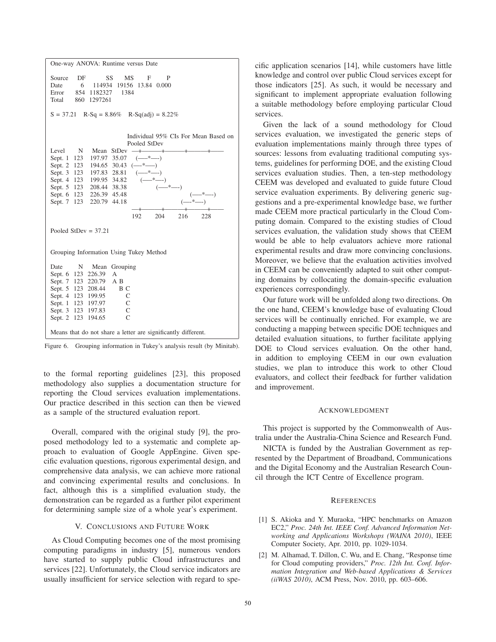

Figure 6. Grouping information in Tukey's analysis result (by Minitab).

to the formal reporting guidelines [23], this proposed methodology also supplies a documentation structure for reporting the Cloud services evaluation implementations. Our practice described in this section can then be viewed as a sample of the structured evaluation report.

Overall, compared with the original study [9], the proposed methodology led to a systematic and complete approach to evaluation of Google AppEngine. Given specific evaluation questions, rigorous experimental design, and comprehensive data analysis, we can achieve more rational and convincing experimental results and conclusions. In fact, although this is a simplified evaluation study, the demonstration can be regarded as a further pilot experiment for determining sample size of a whole year's experiment.

## V. CONCLUSIONS AND FUTURE WORK

As Cloud Computing becomes one of the most promising computing paradigms in industry [5], numerous vendors have started to supply public Cloud infrastructures and services [22]. Unfortunately, the Cloud service indicators are usually insufficient for service selection with regard to specific application scenarios [14], while customers have little knowledge and control over public Cloud services except for those indicators [25]. As such, it would be necessary and significant to implement appropriate evaluation following a suitable methodology before employing particular Cloud services.

Given the lack of a sound methodology for Cloud services evaluation, we investigated the generic steps of evaluation implementations mainly through three types of sources: lessons from evaluating traditional computing systems, guidelines for performing DOE, and the existing Cloud services evaluation studies. Then, a ten-step methodology CEEM was developed and evaluated to guide future Cloud service evaluation experiments. By delivering generic suggestions and a pre-experimental knowledge base, we further made CEEM more practical particularly in the Cloud Computing domain. Compared to the existing studies of Cloud services evaluation, the validation study shows that CEEM would be able to help evaluators achieve more rational experimental results and draw more convincing conclusions. Moreover, we believe that the evaluation activities involved in CEEM can be conveniently adapted to suit other computing domains by collocating the domain-specific evaluation experiences correspondingly.

Our future work will be unfolded along two directions. On the one hand, CEEM's knowledge base of evaluating Cloud services will be continually enriched. For example, we are conducting a mapping between specific DOE techniques and detailed evaluation situations, to further facilitate applying DOE to Cloud services evaluation. On the other hand, in addition to employing CEEM in our own evaluation studies, we plan to introduce this work to other Cloud evaluators, and collect their feedback for further validation and improvement.

#### ACKNOWLEDGMENT

This project is supported by the Commonwealth of Australia under the Australia-China Science and Research Fund.

NICTA is funded by the Australian Government as represented by the Department of Broadband, Communications and the Digital Economy and the Australian Research Council through the ICT Centre of Excellence program.

#### **REFERENCES**

- [1] S. Akioka and Y. Muraoka, "HPC benchmarks on Amazon EC2," *Proc. 24th Int. IEEE Conf. Advanced Information Networking and Applications Workshops (WAINA 2010)*, IEEE Computer Society, Apr. 2010, pp. 1029-1034.
- [2] M. Alhamad, T. Dillon, C. Wu, and E. Chang, "Response time for Cloud computing providers," *Proc. 12th Int. Conf. Information Integration and Web-based Applications & Services (iiWAS 2010)*, ACM Press, Nov. 2010, pp. 603–606.